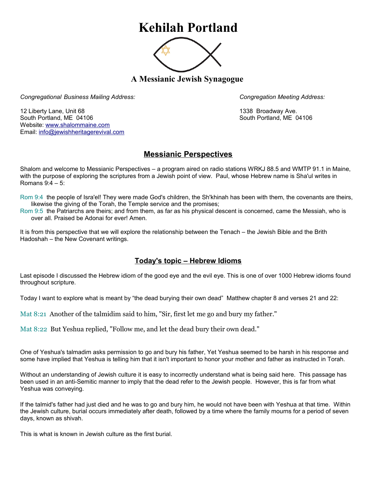## **Kehilah Portland**



**A Messianic Jewish Synagogue** 

*Congregational Business Mailing Address: Congregation Meeting Address:*

12 Liberty Lane, Unit 68 1338 Broadway Ave. South Portland, ME 04106 South Portland, ME 04106 Website: [www.shalommaine.com](http://www.shalommaine.com/) Email: [info@jewishheritagerevival.com](mailto:info@jewishheritagerevival.com) 

## **Messianic Perspectives**

Shalom and welcome to Messianic Perspectives – a program aired on radio stations WRKJ 88.5 and WMTP 91.1 in Maine, with the purpose of exploring the scriptures from a Jewish point of view. Paul, whose Hebrew name is Sha'ul writes in Romans 9:4 – 5:

Rom 9:4 the people of Isra'el! They were made God's children, the Sh'khinah has been with them, the covenants are theirs, likewise the giving of the Torah, the Temple service and the promises;

Rom 9:5 the Patriarchs are theirs; and from them, as far as his physical descent is concerned, came the Messiah, who is over all. Praised be Adonai for ever! Amen.

It is from this perspective that we will explore the relationship between the Tenach – the Jewish Bible and the Brith Hadoshah – the New Covenant writings.

## **Today's topic – Hebrew Idioms**

Last episode I discussed the Hebrew idiom of the good eye and the evil eye. This is one of over 1000 Hebrew idioms found throughout scripture.

Today I want to explore what is meant by "the dead burying their own dead" Matthew chapter 8 and verses 21 and 22:

Mat 8:21 Another of the talmidim said to him, "Sir, first let me go and bury my father."

Mat 8:22 But Yeshua replied, "Follow me, and let the dead bury their own dead."

One of Yeshua's talmadim asks permission to go and bury his father, Yet Yeshua seemed to be harsh in his response and some have implied that Yeshua is telling him that it isn't important to honor your mother and father as instructed in Torah.

Without an understanding of Jewish culture it is easy to incorrectly understand what is being said here. This passage has been used in an anti-Semitic manner to imply that the dead refer to the Jewish people. However, this is far from what Yeshua was conveying.

If the talmid's father had just died and he was to go and bury him, he would not have been with Yeshua at that time. Within the Jewish culture, burial occurs immediately after death, followed by a time where the family mourns for a period of seven days, known as shivah.

This is what is known in Jewish culture as the first burial.